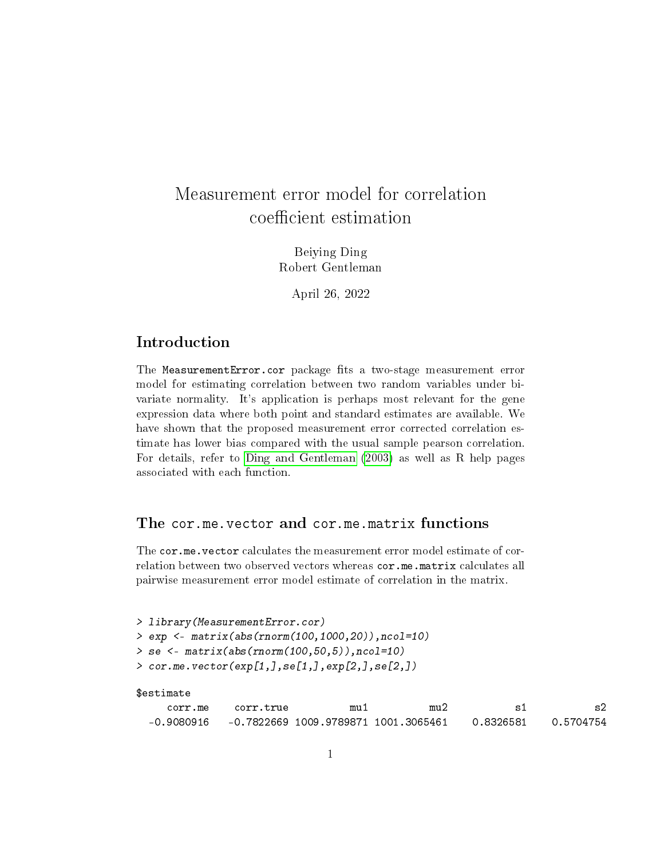## Measurement error model for correlation coefficient estimation

Beiying Ding Robert Gentleman

April 26, 2022

## Introduction

The MeasurementError.cor package fits a two-stage measurement error model for estimating correlation between two random variables under bivariate normality. It's application is perhaps most relevant for the gene expression data where both point and standard estimates are available. We have shown that the proposed measurement error corrected correlation estimate has lower bias compared with the usual sample pearson correlation. For details, refer to [Ding and Gentleman](#page-2-0) [\(2003\)](#page-2-0) as well as R help pages associated with each function.

## The cor.me.vector and cor.me.matrix functions

The cor.me.vector calculates the measurement error model estimate of correlation between two observed vectors whereas cor.me.matrix calculates all pairwise measurement error model estimate of correlation in the matrix.

> library(MeasurementError.cor) > exp <- matrix(abs(rnorm(100,1000,20)),ncol=10) > se <- matrix(abs(rnorm(100,50,5)),ncol=10)  $> cor.me. vector(exp[1,], se[1,], exp[2,], se[2,])$ 

```
$estimate
```

| corr.me    | corr.true                            | mu 1 | mu2 |           |           |
|------------|--------------------------------------|------|-----|-----------|-----------|
| -0.9080916 | -0.7822669 1009.9789871 1001.3065461 |      |     | 0.8326581 | 0.5704754 |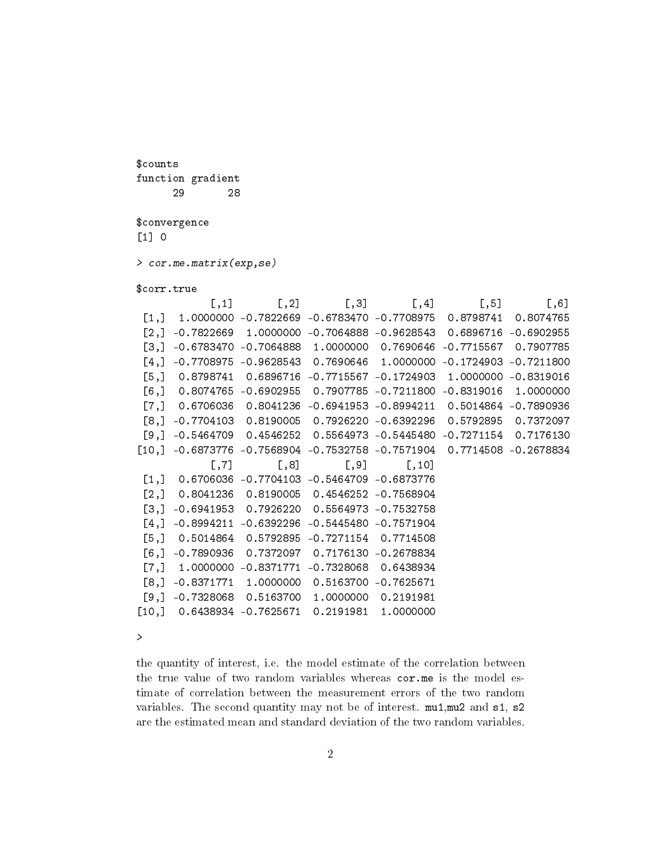function gradient 29 28 \$convergence [1] 0 > cor.me.matrix(exp,se) \$corr.true  $[0,1]$   $[0,2]$   $[0,3]$   $[0,4]$   $[0,5]$   $[0,6]$ [1,] 1.0000000 -0.7822669 -0.6783470 -0.7708975 0.8798741 0.8074765 [2,] -0.7822669 1.0000000 -0.7064888 -0.9628543 0.6896716 -0.6902955 [3,] -0.6783470 -0.7064888 1.0000000 0.7690646 -0.7715567 0.7907785 [4,] -0.7708975 -0.9628543 0.7690646 1.0000000 -0.1724903 -0.7211800 [5,] 0.8798741 0.6896716 -0.7715567 -0.1724903 1.0000000 -0.8319016 [6,] 0.8074765 -0.6902955 0.7907785 -0.7211800 -0.8319016 1.0000000 [7,] 0.6706036 0.8041236 -0.6941953 -0.8994211 0.5014864 -0.7890936 [8,] -0.7704103 0.8190005 0.7926220 -0.6392296 0.5792895 0.7372097 [9,] -0.5464709 0.4546252 0.5564973 -0.5445480 -0.7271154 0.7176130 [10,] -0.6873776 -0.7568904 -0.7532758 -0.7571904 0.7714508 -0.2678834  $[0,7]$   $[0,8]$   $[0,9]$   $[0,10]$ [1,] 0.6706036 -0.7704103 -0.5464709 -0.6873776 [2,] 0.8041236 0.8190005 0.4546252 -0.7568904 [3,] -0.6941953 0.7926220 0.5564973 -0.7532758 [4,] -0.8994211 -0.6392296 -0.5445480 -0.7571904 [5,] 0.5014864 0.5792895 -0.7271154 0.7714508 [6,] -0.7890936 0.7372097 0.7176130 -0.2678834

[7,] 1.0000000 -0.8371771 -0.7328068 0.6438934 [8,] -0.8371771 1.0000000 0.5163700 -0.7625671 [9,] -0.7328068 0.5163700 1.0000000 0.2191981 [10,] 0.6438934 -0.7625671 0.2191981 1.0000000

 $\mathbf{r}$ 

\$counts

the quantity of interest, i.e. the model estimate of the correlation between the true value of two random variables whereas cor.me is the model estimate of correlation between the measurement errors of the two random variables. The second quantity may not be of interest. mu1,mu2 and s1, s2 are the estimated mean and standard deviation of the two random variables.